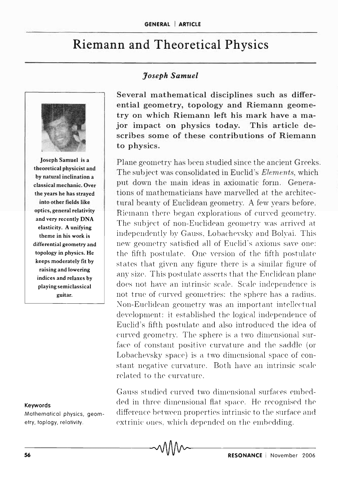## **Riemann and Theoretical Physics**



Joseph Samuel is a theoretical physicist and by natural inclination a classical mechanic. Over the years he has strayed into other fields like optics, general relativity and very recently DNA elasticity. A unifying theme in his work is differential geometry and topology in physics. He keeps moderately fit by raising and lowering indices and relaxes by playing semiclassical guitar.

## Keywords

Mathematical physics, geometry, toplogy, relativity.

## *Joseph Samuel*

Several mathematical disciplines such as differential geometry, topology and Riemann geometryon which Riemann left his mark have a major impact on physics today. This article describes some of these contributions of Riemann to physics.

Plane geometry has been studied since the ancient Greeks. The subject was consolidated in Euclid's *Elements*, which put down the main ideas in axiomatic form. Generations of mathematicians have marvelled at the architectural beauty of Euclidean geometry. A few years before. Riemann there began explorations of curved geometry. The subject of non-Euclidean geometry was arrived at independently by Gauss, Lobachevsky and Bolyai. This new geometry satisfied all of Euclid's axioms save one: the fifth postulate. One version of the fifth postulate states that given any figure there is a similar figure of any size. This postulate asserts that the Euclidean plane does not have an intrinsic scale. Scale independence is not true of curved geometries: the sphere has a radius. Non-Euclidean geometry was an important intellectual development: it established the logical independence of Euclid's fifth postulate and also introduced the idea of curved geometry. The sphere is a two dimensional surface of constant positive curvature and the saddle (or Lobachevsky space) is a two dimensional space of constant negative curvature. Both have an intrinsic scale related to the curvature.

Gauss studied curved two dimensional surfaces embedded in three dimensional flat space. He recognised the difference between properties intrinsic to the surface and extrinic ones, which depended on the embedding.

5 -6--------------------------------~-----------R-E-S-O-N-A-N-C-E--I-N-o-v-em--b-er--2-0-0-6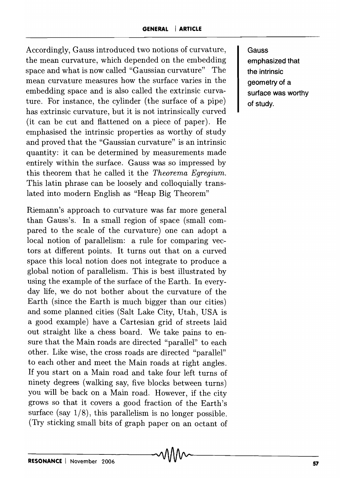Accordingly, Gauss introduced two notions of curvature, the mean curvature, which depended on the embedding space and what is now called "Gaussian curvature" The mean curvature measures how the surface varies in the embedding space and is also called the extrinsic curvature. For instance, the cylinder (the surface of a pipe) has extrinsic curvature, but it is not intrinsically curved (it can be cut and flattened on a piece of paper). He emphasised the intrinsic properties as worthy of study and proved that the "Gaussian curvature" is an intrinsic quantity: it can be determined by measurements made entirely within the surface. Gauss was so impressed by this theorem that he called it the *Theorema Egregium.*  This latin phrase can be loosely and colloquially translated into modern English as "Heap Big Theorem"

Riemann's approach to curvature was far more general than Gauss's. **In** a small region of space (small compared to the scale of the curvature) one can adopt a local notion of parallelism: a rule for comparing vectors at different points. It turns out that on a curved space this local notion does not integrate to produce a global notion of parallelism. This is best illustrated by using the example of the surface of the Earth. **In** everyday life, we do not bother about the curvature of the Earth (since the Earth is much bigger than our cities) and some planned cities (Salt Lake City, Utah, USA is a good example) have a Cartesian grid of streets laid out straight like a chess board. We take pains to ensure that the Main roads are directed "parallel" to each other. Like wise, the cross roads are directed "parallel" to each other and meet the Main roads at right angles. If you start on a Main road and take four left turns of ninety degrees (walking say, five blocks between turns) you will be back on a Main road. However, if the city grows so that it covers a good fraction of the Earth's surface (say  $1/8$ ), this parallelism is no longer possible. (Try sticking small bits of graph paper on an octant of **Gauss emphasized that the intrinsic geometry of a surface was worthy of study.**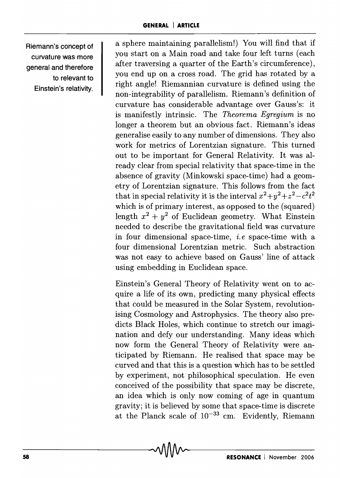**Riemann's concept of curvature was more general and therefore to relevant to Einstein's relativity.** 

a sphere maintaining parallelism!) You will find that if you start on a Main road and take four left turns (each after traversing a quarter of the Earth's circumference), you end up on a cross road. The grid has rotated by a right angle! Riemannian curvature is defined using the non-integrability of parallelism. Riemann's definition of curvature has considerable advantage over Gauss's: it is manifestly intrinsic. The *Theorema Egregium* is no longer a theorem but an obvious fact. Riemann's ideas generalise easily to any number of dimensions. They also work for metrics of Lorentzian signature. This turned out to be important for General Relativity. It was already clear from special relativity that space-time in the absence of gravity (Minkowski space-time) had a geometry of Lorentzian signature. This follows from the fact that in special relativity it is the interval  $x^2+y^2+z^2-c^2t^2$ which is of primary interest, as opposed to the (squared) length  $x^2 + y^2$  of Euclidean geometry. What Einstein needed to describe the gravitational field was curvature in four dimensional space-time, *i.e* space-time with a four dimensional Lorentzian metric. Such abstraction was not easy to achieve based on Gauss' line of attack using embedding in Euclidean space.

Einstein's General Theory of Relativity went on to acquire a life of its own, predicting many physical effects that could be measured in the Solar System, revolutionising Cosmology and Astrophysics. The theory also predicts Black Holes, which continue to stretch our imagination and defy our understanding. Many ideas which now form the General Theory of Relativity were anticipated by Riemann. He realised that space may be curved and that this is a question which has to be settled by experiment, not philosophical speculation. He even conceived of the possibility that space may be discrete, an idea which is only now coming of age in quantum gravity; it is believed by some that space-time is discrete at the Planck scale of  $10^{-33}$  cm. Evidently, Riemann at the Planck scale of  $10^{-35}$  cm. Evidently, Riemann<br> **MM**<br> **RESONANCE** | November 2006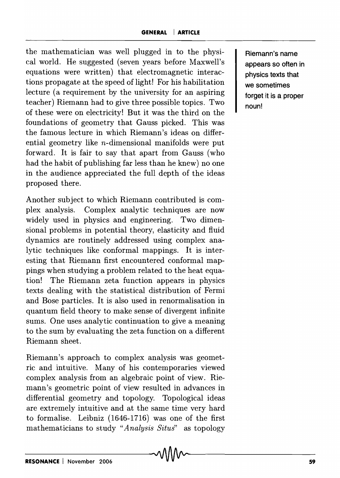the mathematician was well plugged in to the physical world. He suggested (seven years before Maxwell's equations were written) that electromagnetic interactions propagate at the speed of light! For his habilitation lecture (a requirement by the university for an aspiring teacher) Riemann had to give three possible topics. Two of these were on electricity! But it was the third on the foundations of geometry that Gauss picked. This was the famous lecture in which Riemann's ideas on differential geometry like n-dimensional manifolds were put forward. It is fair to say that apart from Gauss (who had the habit of publishing far less than he knew) no one in the audience appreciated the full depth of the ideas proposed there.

Another subject to which Riemann contributed is complex analysis. Complex analytic techniques are now widely used in physics and engineering. Two dimensional problems in potential theory, elasticity and fluid dynamics are routinely addressed using complex analytic techniques like conformal mappings. It is interesting that Riemann first encountered conformal mappings when studying a problem related to the heat equation! The Riemann zeta function appears in physics texts dealing with the statistical distribution of Fermi and Bose particles. It is also used in renormalisation in quantum field theory to make sense of divergent infinite sums. One uses analytic continuation to give a meaning to the sum by evaluating the zeta function on a different Riemann sheet.

Riemann's approach to complex analysis was geometric and intuitive. Many of his contemporaries viewed complex analysis from an algebraic point of view. Riemann's geometric point of view resulted in advances in differential geometry and topology. Topological ideas are extremely intuitive and at the same time very hard to formalise. Leibniz (1646-1716) was one of the first mathematicians to study *"Analysis Situs"* as topology

**Riemann's name appears so often in physics texts that we sometimes forget it is a proper noun!**